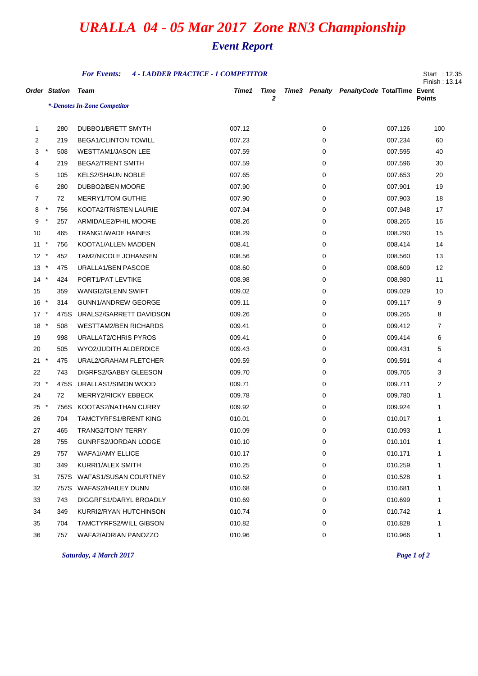## *URALLA 04 - 05 Mar 2017 Zone RN3 Championship*

## *Event Report*

| <b>For Events:</b><br><b>4 - LADDER PRACTICE - 1 COMPETITOR</b> |         |      |                              |        |                  |  |   |                                           |               |
|-----------------------------------------------------------------|---------|------|------------------------------|--------|------------------|--|---|-------------------------------------------|---------------|
| <b>Order Station</b>                                            |         |      | Team                         | Time1  | <b>Time</b><br>2 |  |   | Time3 Penalty PenaltyCode TotalTime Event |               |
|                                                                 |         |      | *-Denotes In-Zone Competitor |        |                  |  |   |                                           | <b>Points</b> |
|                                                                 |         |      |                              |        |                  |  |   |                                           |               |
| 1                                                               |         | 280  | DUBBO1/BRETT SMYTH           | 007.12 |                  |  | 0 | 007.126                                   | 100           |
| 2                                                               |         | 219  | <b>BEGA1/CLINTON TOWILL</b>  | 007.23 |                  |  | 0 | 007.234                                   | 60            |
| 3                                                               | $\star$ | 508  | <b>WESTTAM1/JASON LEE</b>    | 007.59 |                  |  | 0 | 007.595                                   | 40            |
| 4                                                               |         | 219  | <b>BEGA2/TRENT SMITH</b>     | 007.59 |                  |  | 0 | 007.596                                   | 30            |
| 5                                                               |         | 105  | <b>KELS2/SHAUN NOBLE</b>     | 007.65 |                  |  | 0 | 007.653                                   | 20            |
| 6                                                               |         | 280  | DUBBO2/BEN MOORE             | 007.90 |                  |  | 0 | 007.901                                   | 19            |
| 7                                                               |         | 72   | <b>MERRY1/TOM GUTHIE</b>     | 007.90 |                  |  | 0 | 007.903                                   | 18            |
| 8                                                               | $\star$ | 756  | KOOTA2/TRISTEN LAURIE        | 007.94 |                  |  | 0 | 007.948                                   | 17            |
| 9                                                               | $\ast$  | 257  | ARMIDALE2/PHIL MOORE         | 008.26 |                  |  | 0 | 008.265                                   | 16            |
| 10                                                              |         | 465  | <b>TRANG1/WADE HAINES</b>    | 008.29 |                  |  | 0 | 008.290                                   | 15            |
| 11                                                              | $\star$ | 756  | KOOTA1/ALLEN MADDEN          | 008.41 |                  |  | 0 | 008.414                                   | 14            |
| $12 *$                                                          |         | 452  | <b>TAM2/NICOLE JOHANSEN</b>  | 008.56 |                  |  | 0 | 008.560                                   | 13            |
| $\star$<br>13                                                   |         | 475  | URALLA1/BEN PASCOE           | 008.60 |                  |  | 0 | 008.609                                   | 12            |
| $14 *$                                                          |         | 424  | PORT1/PAT LEVTIKE            | 008.98 |                  |  | 0 | 008.980                                   | 11            |
| 15                                                              |         | 359  | WANGI2/GLENN SWIFT           | 009.02 |                  |  | 0 | 009.029                                   | 10            |
| $16*$                                                           |         | 314  | <b>GUNN1/ANDREW GEORGE</b>   | 009.11 |                  |  | 0 | 009.117                                   | 9             |
| $17 *$                                                          |         | 475S | URALS2/GARRETT DAVIDSON      | 009.26 |                  |  | 0 | 009.265                                   | 8             |
| $18 *$                                                          |         | 508  | <b>WESTTAM2/BEN RICHARDS</b> | 009.41 |                  |  | 0 | 009.412                                   | 7             |
| 19                                                              |         | 998  | URALLAT2/CHRIS PYROS         | 009.41 |                  |  | 0 | 009.414                                   | 6             |
| 20                                                              |         | 505  | WYO2/JUDITH ALDERDICE        | 009.43 |                  |  | 0 | 009.431                                   | 5             |
| $21 *$                                                          |         | 475  | URAL2/GRAHAM FLETCHER        | 009.59 |                  |  | 0 | 009.591                                   | 4             |
| 22                                                              |         | 743  | DIGRFS2/GABBY GLEESON        | 009.70 |                  |  | 0 | 009.705                                   | 3             |
| $23 *$                                                          |         |      | 475S URALLAS1/SIMON WOOD     | 009.71 |                  |  | 0 | 009.711                                   | 2             |
| 24                                                              |         | 72   | <b>MERRY2/RICKY EBBECK</b>   | 009.78 |                  |  | 0 | 009.780                                   | 1             |
| $25 *$                                                          |         | 756S | KOOTAS2/NATHAN CURRY         | 009.92 |                  |  | 0 | 009.924                                   | 1             |
| 26                                                              |         | 704  | TAMCTYRFS1/BRENT KING        | 010.01 |                  |  | 0 | 010.017                                   | 1             |
| 27                                                              |         | 465  | TRANG2/TONY TERRY            | 010.09 |                  |  | 0 | 010.093                                   |               |
| 28                                                              |         | 755  | GUNRFS2/JORDAN LODGE         | 010.10 |                  |  | 0 | 010.101                                   | 1             |
| 29                                                              |         | 757  | <b>WAFA1/AMY ELLICE</b>      | 010.17 |                  |  | 0 | 010.171                                   | 1             |
| 30                                                              |         | 349  | KURRI1/ALEX SMITH            | 010.25 |                  |  | 0 | 010.259                                   | 1             |
| 31                                                              |         | 757S | <b>WAFAS1/SUSAN COURTNEY</b> | 010.52 |                  |  | 0 | 010.528                                   | 1             |
| 32                                                              |         | 757S | WAFAS2/HAILEY DUNN           | 010.68 |                  |  | 0 | 010.681                                   | 1             |
| 33                                                              |         | 743  | DIGGRFS1/DARYL BROADLY       | 010.69 |                  |  | 0 | 010.699                                   | 1             |
| 34                                                              |         | 349  | KURRI2/RYAN HUTCHINSON       | 010.74 |                  |  | 0 | 010.742                                   | 1             |
| 35                                                              |         | 704  | TAMCTYRFS2/WILL GIBSON       | 010.82 |                  |  | 0 | 010.828                                   | 1             |
| 36                                                              |         | 757  | WAFA2/ADRIAN PANOZZO         | 010.96 |                  |  | 0 | 010.966                                   | 1             |

*Saturday, 4 March 2017 Page 1 of 2*